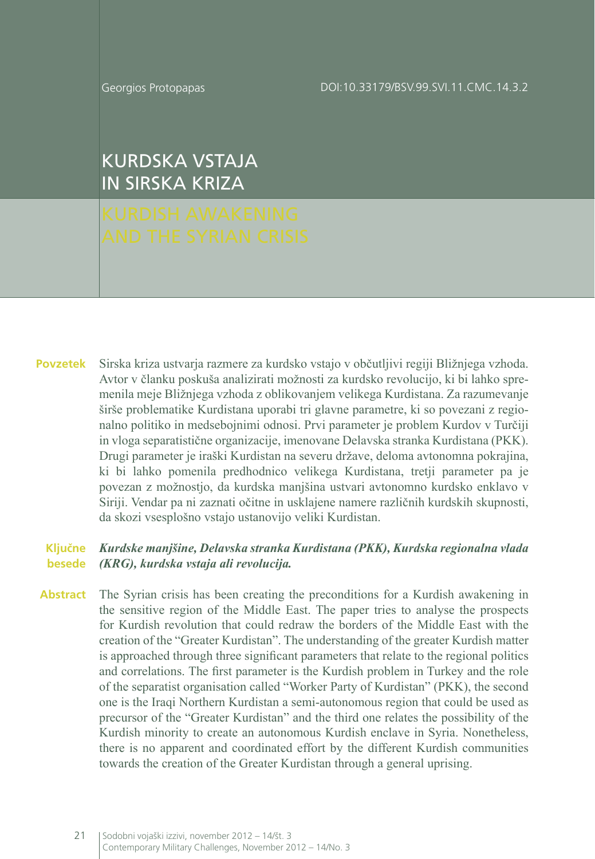Georgios Protopapas

DOI:10.33179/BSV.99.SVI.11.CMC.14.3.2

KURDSKA VSTAJA IN SIRSKA KRIZA

Sirska kriza ustvarja razmere za kurdsko vstajo v občutljivi regiji Bližnjega vzhoda. Avtor v članku poskuša analizirati možnosti za kurdsko revolucijo, ki bi lahko spremenila meje Bližnjega vzhoda z oblikovanjem velikega Kurdistana. Za razumevanje širše problematike Kurdistana uporabi tri glavne parametre, ki so povezani z regionalno politiko in medsebojnimi odnosi. Prvi parameter je problem Kurdov v Turčiji in vloga separatistične organizacije, imenovane Delavska stranka Kurdistana (PKK). Drugi parameter je iraški Kurdistan na severu države, deloma avtonomna pokrajina, ki bi lahko pomenila predhodnico velikega Kurdistana, tretji parameter pa je povezan z možnostjo, da kurdska manjšina ustvari avtonomno kurdsko enklavo v Siriji. Vendar pa ni zaznati očitne in usklajene namere različnih kurdskih skupnosti, da skozi vsesplošno vstajo ustanovijo veliki Kurdistan. **Povzetek**

#### *Kurdske manjšine, Delavska stranka Kurdistana (PKK), Kurdska regionalna vlada (KRG), kurdska vstaja ali revolucija.* **Ključne besede**

The Syrian crisis has been creating the preconditions for a Kurdish awakening in the sensitive region of the Middle East. The paper tries to analyse the prospects for Kurdish revolution that could redraw the borders of the Middle East with the creation of the "Greater Kurdistan". The understanding of the greater Kurdish matter is approached through three significant parameters that relate to the regional politics and correlations. The first parameter is the Kurdish problem in Turkey and the role of the separatist organisation called "Worker Party of Kurdistan" (PKK), the second one is the Iraqi Northern Kurdistan a semi-autonomous region that could be used as precursor of the "Greater Kurdistan" and the third one relates the possibility of the Kurdish minority to create an autonomous Kurdish enclave in Syria. Nonetheless, there is no apparent and coordinated effort by the different Kurdish communities towards the creation of the Greater Kurdistan through a general uprising. **Abstract**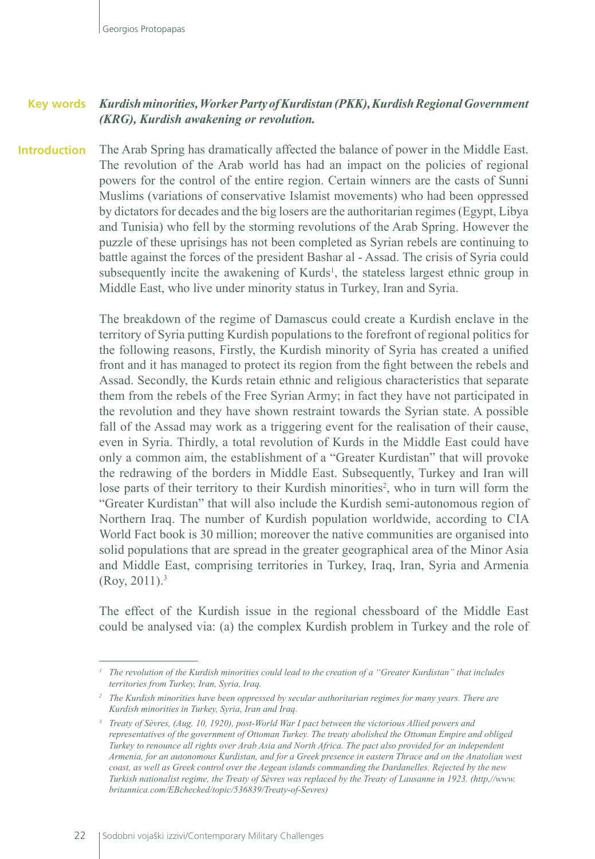#### *Kurdish minorities, Worker Party of Kurdistan (PKK), Kurdish Regional Government (KRG), Kurdish awakening or revolution.* **Key words**

The Arab Spring has dramatically affected the balance of power in the Middle East. The revolution of the Arab world has had an impact on the policies of regional powers for the control of the entire region. Certain winners are the casts of Sunni Muslims (variations of conservative Islamist movements) who had been oppressed by dictators for decades and the big losers are the authoritarian regimes (Egypt, Libya and Tunisia) who fell by the storming revolutions of the Arab Spring. However the puzzle of these uprisings has not been completed as Syrian rebels are continuing to battle against the forces of the president Bashar al - Assad. The crisis of Syria could subsequently incite the awakening of Kurds<sup>1</sup>, the stateless largest ethnic group in Middle East, who live under minority status in Turkey, Iran and Syria. **Introduction**

> The breakdown of the regime of Damascus could create a Kurdish enclave in the territory of Syria putting Kurdish populations to the forefront of regional politics for the following reasons, Firstly, the Kurdish minority of Syria has created a unified front and it has managed to protect its region from the fight between the rebels and Assad. Secondly, the Kurds retain ethnic and religious characteristics that separate them from the rebels of the Free Syrian Army; in fact they have not participated in the revolution and they have shown restraint towards the Syrian state. A possible fall of the Assad may work as a triggering event for the realisation of their cause, even in Syria. Thirdly, a total revolution of Kurds in the Middle East could have only a common aim, the establishment of a "Greater Kurdistan" that will provoke the redrawing of the borders in Middle East. Subsequently, Turkey and Iran will lose parts of their territory to their Kurdish minorities<sup>2</sup>, who in turn will form the "Greater Kurdistan" that will also include the Kurdish semi-autonomous region of Northern Iraq. The number of Kurdish population worldwide, according to CIA World Fact book is 30 million; moreover the native communities are organised into solid populations that are spread in the greater geographical area of the Minor Asia and Middle East, comprising territories in Turkey, Iraq, Iran, Syria and Armenia  $(Rov, 2011).$ <sup>3</sup>

> The effect of the Kurdish issue in the regional chessboard of the Middle East could be analysed via: (a) the complex Kurdish problem in Turkey and the role of

*<sup>1</sup> The revolution of the Kurdish minorities could lead to the creation of a "Greater Kurdistan" that includes territories from Turkey, Iran, Syria, Iraq.*

*<sup>2</sup> The Kurdish minorities have been oppressed by secular authoritarian regimes for many years. There are Kurdish minorities in Turkey, Syria, Iran and Iraq.*

*<sup>3</sup> Treaty of Sèvres, (Aug. 10, 1920), post-World War I pact between the victorious Allied powers and representatives of the government of Ottoman Turkey. The treaty abolished the Ottoman Empire and obliged Turkey to renounce all rights over Arab Asia and North Africa. The pact also provided for an independent Armenia, for an autonomous Kurdistan, and for a Greek presence in eastern Thrace and on the Anatolian west coast, as well as Greek control over the Aegean islands commanding the Dardanelles. Rejected by the new Turkish nationalist regime, the Treaty of Sèvres was replaced by the Treaty of Lausanne in 1923. (http,//www. britannica.com/EBchecked/topic/536839/Treaty-of-Sevres)*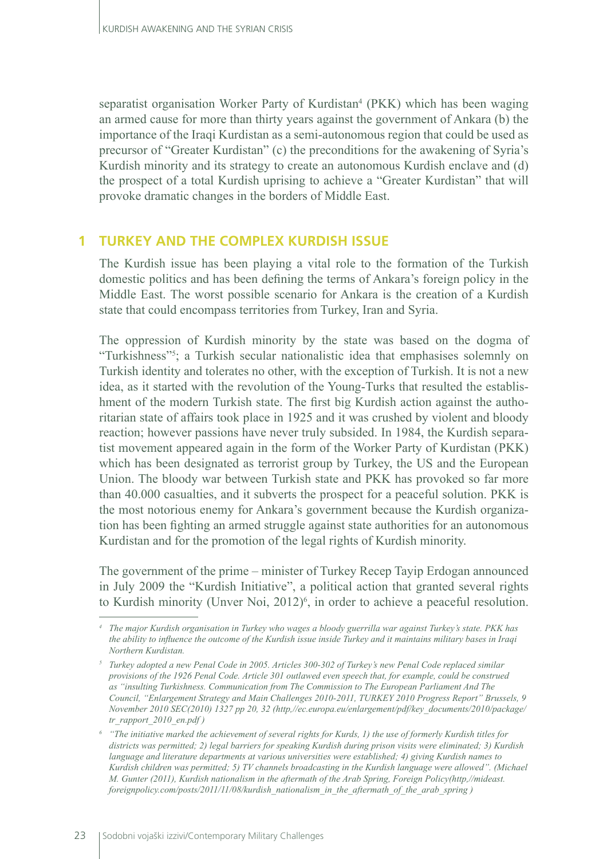separatist organisation Worker Party of Kurdistan<sup>4</sup> (PKK) which has been waging an armed cause for more than thirty years against the government of Ankara (b) the importance of the Iraqi Kurdistan as a semi-autonomous region that could be used as precursor of "Greater Kurdistan" (c) the preconditions for the awakening of Syria's Kurdish minority and its strategy to create an autonomous Kurdish enclave and (d) the prospect of a total Kurdish uprising to achieve a "Greater Kurdistan" that will provoke dramatic changes in the borders of Middle East.

### **1 TURKEY AND THE COMPLEX KURDISH ISSUE**

The Kurdish issue has been playing a vital role to the formation of the Turkish domestic politics and has been defining the terms of Ankara's foreign policy in the Middle East. The worst possible scenario for Ankara is the creation of a Kurdish state that could encompass territories from Turkey, Iran and Syria.

The oppression of Kurdish minority by the state was based on the dogma of "Turkishness"5 ; a Turkish secular nationalistic idea that emphasises solemnly on Turkish identity and tolerates no other, with the exception of Turkish. It is not a new idea, as it started with the revolution of the Young-Turks that resulted the establishment of the modern Turkish state. The first big Kurdish action against the authoritarian state of affairs took place in 1925 and it was crushed by violent and bloody reaction; however passions have never truly subsided. In 1984, the Kurdish separatist movement appeared again in the form of the Worker Party of Kurdistan (PKK) which has been designated as terrorist group by Turkey, the US and the European Union. The bloody war between Turkish state and PKK has provoked so far more than 40.000 casualties, and it subverts the prospect for a peaceful solution. PKK is the most notorious enemy for Ankara's government because the Kurdish organization has been fighting an armed struggle against state authorities for an autonomous Kurdistan and for the promotion of the legal rights of Kurdish minority.

The government of the prime – minister of Turkey Recep Tayip Erdogan announced in July 2009 the "Kurdish Initiative", a political action that granted several rights to Kurdish minority (Unver Noi, 2012)<sup>6</sup>, in order to achieve a peaceful resolution.

*<sup>4</sup> The major Kurdish organisation in Turkey who wages a bloody guerrilla war against Turkey's state. PKK has the ability to influence the outcome of the Kurdish issue inside Turkey and it maintains military bases in Iraqi Northern Kurdistan.*

*<sup>5</sup> Turkey adopted a new Penal Code in 2005. Articles 300-302 of Turkey's new Penal Code replaced similar provisions of the 1926 Penal Code. Article 301 outlawed even speech that, for example, could be construed as "insulting Turkishness. Communication from The Commission to The European Parliament And The Council, "Enlargement Strategy and Main Challenges 2010-2011, TURKEY 2010 Progress Report" Brussels, 9 November 2010 SEC(2010) 1327 pp 20, 32 (http,//ec.europa.eu/enlargement/pdf/key\_documents/2010/package/ tr\_rapport\_2010\_en.pdf )*

*<sup>6</sup> "The initiative marked the achievement of several rights for Kurds, 1) the use of formerly Kurdish titles for districts was permitted; 2) legal barriers for speaking Kurdish during prison visits were eliminated; 3) Kurdish language and literature departments at various universities were established; 4) giving Kurdish names to Kurdish children was permitted; 5) TV channels broadcasting in the Kurdish language were allowed". (Michael M. Gunter (2011), Kurdish nationalism in the aftermath of the Arab Spring, Foreign Policy(http,//mideast. foreignpolicy.com/posts/2011/11/08/kurdish\_nationalism\_in\_the\_aftermath\_of\_the\_arab\_spring )*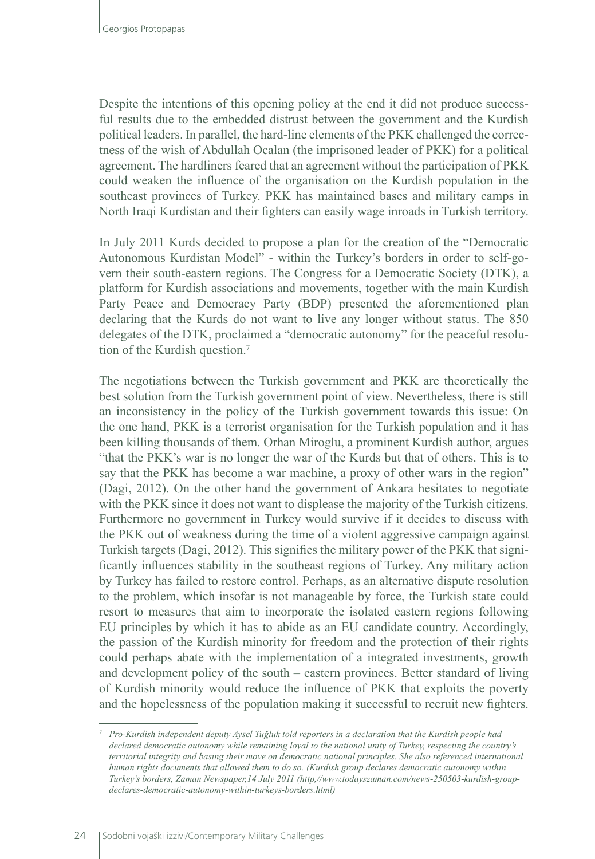Despite the intentions of this opening policy at the end it did not produce successful results due to the embedded distrust between the government and the Kurdish political leaders. In parallel, the hard-line elements of the PKK challenged the correctness of the wish of Abdullah Ocalan (the imprisoned leader of PKK) for a political agreement. The hardliners feared that an agreement without the participation of PKK could weaken the influence of the organisation on the Kurdish population in the southeast provinces of Turkey. PKK has maintained bases and military camps in North Iraqi Kurdistan and their fighters can easily wage inroads in Turkish territory.

In July 2011 Kurds decided to propose a plan for the creation of the "Democratic Autonomous Kurdistan Model" - within the Turkey's borders in order to self-govern their south-eastern regions. The Congress for a Democratic Society (DTK), a platform for Kurdish associations and movements, together with the main Kurdish Party Peace and Democracy Party (BDP) presented the aforementioned plan declaring that the Kurds do not want to live any longer without status. The 850 delegates of the DTK, proclaimed a "democratic autonomy" for the peaceful resolution of the Kurdish question.7

The negotiations between the Turkish government and PKK are theoretically the best solution from the Turkish government point of view. Nevertheless, there is still an inconsistency in the policy of the Turkish government towards this issue: On the one hand, PKK is a terrorist organisation for the Turkish population and it has been killing thousands of them. Orhan Miroglu, a prominent Kurdish author, argues "that the PKK's war is no longer the war of the Kurds but that of others. This is to say that the PKK has become a war machine, a proxy of other wars in the region" (Dagi, 2012). On the other hand the government of Ankara hesitates to negotiate with the PKK since it does not want to displease the majority of the Turkish citizens. Furthermore no government in Turkey would survive if it decides to discuss with the PKK out of weakness during the time of a violent aggressive campaign against Turkish targets (Dagi, 2012). This signifies the military power of the PKK that significantly influences stability in the southeast regions of Turkey. Any military action by Turkey has failed to restore control. Perhaps, as an alternative dispute resolution to the problem, which insofar is not manageable by force, the Turkish state could resort to measures that aim to incorporate the isolated eastern regions following EU principles by which it has to abide as an EU candidate country. Accordingly, the passion of the Kurdish minority for freedom and the protection of their rights could perhaps abate with the implementation of a integrated investments, growth and development policy of the south – eastern provinces. Better standard of living of Kurdish minority would reduce the influence of PKK that exploits the poverty and the hopelessness of the population making it successful to recruit new fighters.

*<sup>7</sup> Pro-Kurdish independent deputy Aysel Tuğluk told reporters in a declaration that the Kurdish people had declared democratic autonomy while remaining loyal to the national unity of Turkey, respecting the country's territorial integrity and basing their move on democratic national principles. She also referenced international human rights documents that allowed them to do so. (Kurdish group declares democratic autonomy within Turkey's borders, Zaman Newspaper,14 July 2011 (http,//www.todayszaman.com/news-250503-kurdish-groupdeclares-democratic-autonomy-within-turkeys-borders.html)*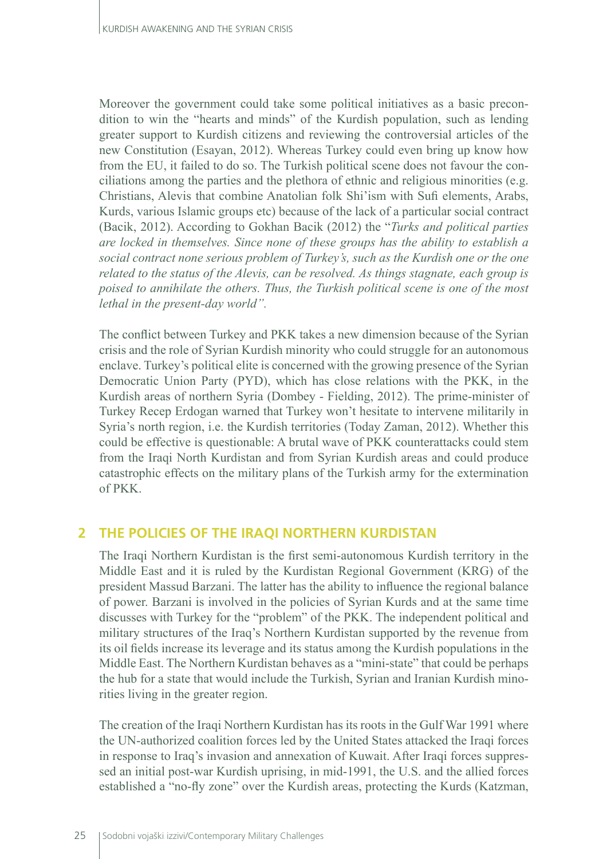Moreover the government could take some political initiatives as a basic precondition to win the "hearts and minds" of the Kurdish population, such as lending greater support to Kurdish citizens and reviewing the controversial articles of the new Constitution (Esayan, 2012). Whereas Turkey could even bring up know how from the EU, it failed to do so. The Turkish political scene does not favour the conciliations among the parties and the plethora of ethnic and religious minorities (e.g. Christians, Alevis that combine Anatolian folk Shi'ism with Sufi elements, Arabs, Kurds, various Islamic groups etc) because of the lack of a particular social contract (Bacik, 2012). According to Gokhan Bacik (2012) the "*Turks and political parties are locked in themselves. Since none of these groups has the ability to establish a social contract none serious problem of Turkey's, such as the Kurdish one or the one related to the status of the Alevis, can be resolved. As things stagnate, each group is poised to annihilate the others. Thus, the Turkish political scene is one of the most lethal in the present-day world".*

The conflict between Turkey and PKK takes a new dimension because of the Syrian crisis and the role of Syrian Kurdish minority who could struggle for an autonomous enclave. Turkey's political elite is concerned with the growing presence of the Syrian Democratic Union Party (PYD), which has close relations with the PKK, in the Kurdish areas of northern Syria (Dombey - Fielding, 2012). The prime-minister of Turkey Recep Erdogan warned that Turkey won't hesitate to intervene militarily in Syria's north region, i.e. the Kurdish territories (Today Zaman, 2012). Whether this could be effective is questionable: A brutal wave of PKK counterattacks could stem from the Iraqi North Kurdistan and from Syrian Kurdish areas and could produce catastrophic effects on the military plans of the Turkish army for the extermination of PKK.

#### **2 THE POLICIES OF THE IRAQI NORTHERN KURDISTAN**

The Iraqi Northern Kurdistan is the first semi-autonomous Kurdish territory in the Middle East and it is ruled by the Kurdistan Regional Government (KRG) of the president Massud Barzani. The latter has the ability to influence the regional balance of power. Barzani is involved in the policies of Syrian Kurds and at the same time discusses with Turkey for the "problem" of the PKK. The independent political and military structures of the Iraq's Northern Kurdistan supported by the revenue from its oil fields increase its leverage and its status among the Kurdish populations in the Middle East. The Northern Kurdistan behaves as a "mini-state" that could be perhaps the hub for a state that would include the Turkish, Syrian and Iranian Kurdish minorities living in the greater region.

The creation of the Iraqi Northern Kurdistan has its roots in the Gulf War 1991 where the UN-authorized coalition forces led by the United States attacked the Iraqi forces in response to Iraq's invasion and annexation of Kuwait. After Iraqi forces suppressed an initial post-war Kurdish uprising, in mid-1991, the U.S. and the allied forces established a "no-fly zone" over the Kurdish areas, protecting the Kurds (Katzman,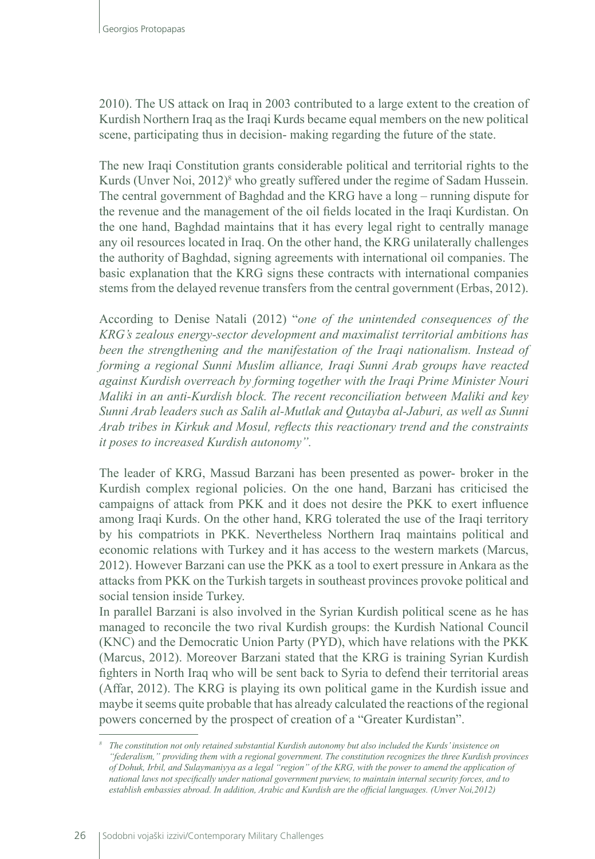2010). The US attack on Iraq in 2003 contributed to a large extent to the creation of Kurdish Northern Iraq as the Iraqi Kurds became equal members on the new political scene, participating thus in decision- making regarding the future of the state.

The new Iraqi Constitution grants considerable political and territorial rights to the Kurds (Unver Noi, 2012)<sup>8</sup> who greatly suffered under the regime of Sadam Hussein. The central government of Baghdad and the KRG have a long – running dispute for the revenue and the management of the oil fields located in the Iraqi Kurdistan. On the one hand, Baghdad maintains that it has every legal right to centrally manage any oil resources located in Iraq. On the other hand, the KRG unilaterally challenges the authority of Baghdad, signing agreements with international oil companies. The basic explanation that the KRG signs these contracts with international companies stems from the delayed revenue transfers from the central government (Erbas, 2012).

According to Denise Natali (2012) "*one of the unintended consequences of the KRG's zealous energy-sector development and maximalist territorial ambitions has been the strengthening and the manifestation of the Iraqi nationalism. Instead of forming a regional Sunni Muslim alliance, Iraqi Sunni Arab groups have reacted against Kurdish overreach by forming together with the Iraqi Prime Minister Nouri Maliki in an anti-Kurdish block. The recent reconciliation between Maliki and key Sunni Arab leaders such as Salih al-Mutlak and Qutayba al-Jaburi, as well as Sunni Arab tribes in Kirkuk and Mosul, reflects this reactionary trend and the constraints it poses to increased Kurdish autonomy".*

The leader of KRG, Massud Barzani has been presented as power- broker in the Kurdish complex regional policies. On the one hand, Barzani has criticised the campaigns of attack from PKK and it does not desire the PKK to exert influence among Iraqi Kurds. On the other hand, KRG tolerated the use of the Iraqi territory by his compatriots in PKK. Nevertheless Northern Iraq maintains political and economic relations with Turkey and it has access to the western markets (Marcus, 2012). However Barzani can use the PKK as a tool to exert pressure in Ankara as the attacks from PKK on the Turkish targets in southeast provinces provoke political and social tension inside Turkey.

In parallel Barzani is also involved in the Syrian Kurdish political scene as he has managed to reconcile the two rival Kurdish groups: the Kurdish National Council (KNC) and the Democratic Union Party (PYD), which have relations with the PKK (Marcus, 2012). Moreover Barzani stated that the KRG is training Syrian Kurdish fighters in North Iraq who will be sent back to Syria to defend their territorial areas (Affar, 2012). The KRG is playing its own political game in the Kurdish issue and maybe it seems quite probable that has already calculated the reactions of the regional powers concerned by the prospect of creation of a "Greater Kurdistan".

*<sup>8</sup> The constitution not only retained substantial Kurdish autonomy but also included the Kurds' insistence on "federalism," providing them with a regional government. The constitution recognizes the three Kurdish provinces of Dohuk, Irbil, and Sulaymaniyya as a legal "region" of the KRG, with the power to amend the application of national laws not specifically under national government purview, to maintain internal security forces, and to establish embassies abroad. In addition, Arabic and Kurdish are the official languages. (Unver Noi,2012)*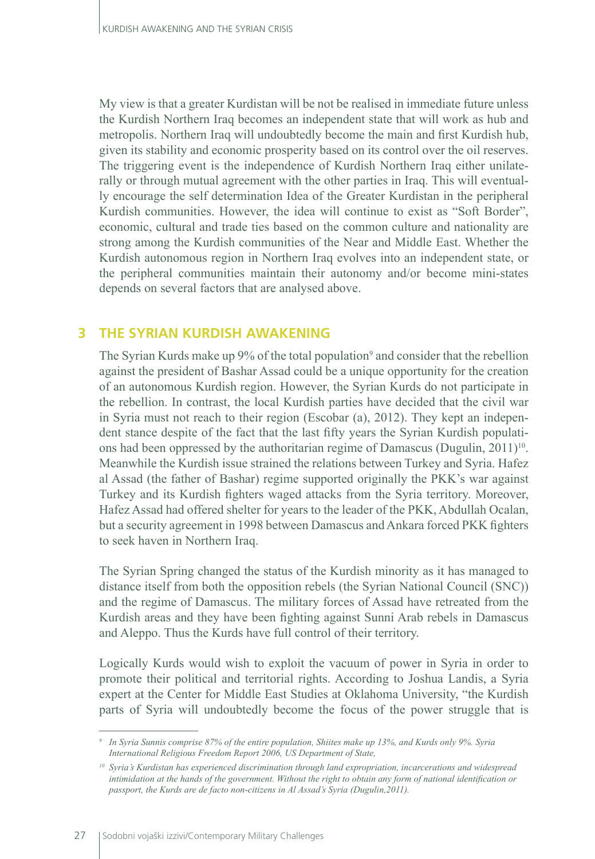My view is that a greater Kurdistan will be not be realised in immediate future unless the Kurdish Northern Iraq becomes an independent state that will work as hub and metropolis. Northern Iraq will undoubtedly become the main and first Kurdish hub, given its stability and economic prosperity based on its control over the oil reserves. The triggering event is the independence of Kurdish Northern Iraq either unilaterally or through mutual agreement with the other parties in Iraq. This will eventually encourage the self determination Idea of the Greater Kurdistan in the peripheral Kurdish communities. However, the idea will continue to exist as "Soft Border", economic, cultural and trade ties based on the common culture and nationality are strong among the Kurdish communities of the Near and Middle East. Whether the Kurdish autonomous region in Northern Iraq evolves into an independent state, or the peripheral communities maintain their autonomy and/or become mini-states depends on several factors that are analysed above.

# **3 THE SYRIAN KURDISH AWAKENING**

The Syrian Kurds make up 9% of the total population<sup>9</sup> and consider that the rebellion against the president of Bashar Assad could be a unique opportunity for the creation of an autonomous Kurdish region. However, the Syrian Kurds do not participate in the rebellion. In contrast, the local Kurdish parties have decided that the civil war in Syria must not reach to their region (Escobar (a), 2012). They kept an independent stance despite of the fact that the last fifty years the Syrian Kurdish populations had been oppressed by the authoritarian regime of Damascus (Dugulin,  $2011$ <sup>10</sup>. Meanwhile the Kurdish issue strained the relations between Turkey and Syria. Hafez al Assad (the father of Bashar) regime supported originally the PKK's war against Turkey and its Kurdish fighters waged attacks from the Syria territory. Moreover, Hafez Assad had offered shelter for years to the leader of the PKK, Abdullah Ocalan, but a security agreement in 1998 between Damascus and Ankara forced PKK fighters to seek haven in Northern Iraq.

The Syrian Spring changed the status of the Kurdish minority as it has managed to distance itself from both the opposition rebels (the Syrian National Council (SNC)) and the regime of Damascus. The military forces of Assad have retreated from the Kurdish areas and they have been fighting against Sunni Arab rebels in Damascus and Aleppo. Thus the Kurds have full control of their territory.

Logically Kurds would wish to exploit the vacuum of power in Syria in order to promote their political and territorial rights. According to Joshua Landis, a Syria expert at the Center for Middle East Studies at Oklahoma University, "the Kurdish parts of Syria will undoubtedly become the focus of the power struggle that is

*<sup>9</sup> In Syria Sunnis comprise 87% of the entire population, Shiites make up 13%, and Kurds only 9%. Syria International Religious Freedom Report 2006, US Department of State,*

*<sup>10</sup> Syria's Kurdistan has experienced discrimination through land expropriation, incarcerations and widespread intimidation at the hands of the government. Without the right to obtain any form of national identification or passport, the Kurds are de facto non-citizens in Al Assad's Syria (Dugulin,2011).*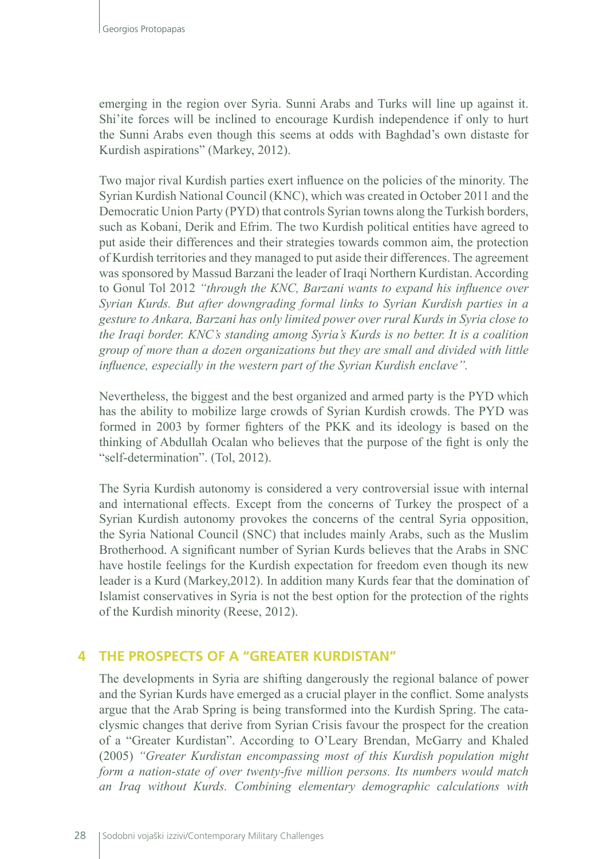emerging in the region over Syria. Sunni Arabs and Turks will line up against it. Shi'ite forces will be inclined to encourage Kurdish independence if only to hurt the Sunni Arabs even though this seems at odds with Baghdad's own distaste for Kurdish aspirations" (Markey, 2012).

Two major rival Kurdish parties exert influence on the policies of the minority. The Syrian Kurdish National Council (KNC), which was created in October 2011 and the Democratic Union Party (PYD) that controls Syrian towns along the Turkish borders, such as Kobani, Derik and Efrim. The two Kurdish political entities have agreed to put aside their differences and their strategies towards common aim, the protection of Kurdish territories and they managed to put aside their differences. The agreement was sponsored by Massud Barzani the leader of Iraqi Northern Kurdistan. According to Gonul Tol 2012 *"through the KNC, Barzani wants to expand his influence over Syrian Kurds. But after downgrading formal links to Syrian Kurdish parties in a gesture to Ankara, Barzani has only limited power over rural Kurds in Syria close to the Iraqi border. KNC's standing among Syria's Kurds is no better. It is a coalition group of more than a dozen organizations but they are small and divided with little influence, especially in the western part of the Syrian Kurdish enclave".*

Nevertheless, the biggest and the best organized and armed party is the PYD which has the ability to mobilize large crowds of Syrian Kurdish crowds. The PYD was formed in 2003 by former fighters of the PKK and its ideology is based on the thinking of Abdullah Ocalan who believes that the purpose of the fight is only the "self-determination". (Tol, 2012).

The Syria Kurdish autonomy is considered a very controversial issue with internal and international effects. Except from the concerns of Turkey the prospect of a Syrian Kurdish autonomy provokes the concerns of the central Syria opposition, the Syria National Council (SNC) that includes mainly Arabs, such as the Muslim Brotherhood. A significant number of Syrian Kurds believes that the Arabs in SNC have hostile feelings for the Kurdish expectation for freedom even though its new leader is a Kurd (Markey,2012). In addition many Kurds fear that the domination of Islamist conservatives in Syria is not the best option for the protection of the rights of the Kurdish minority (Reese, 2012).

# **4 THE PROSPECTS OF A "GREATER KURDISTAN"**

The developments in Syria are shifting dangerously the regional balance of power and the Syrian Kurds have emerged as a crucial player in the conflict. Some analysts argue that the Arab Spring is being transformed into the Kurdish Spring. The cataclysmic changes that derive from Syrian Crisis favour the prospect for the creation of a "Greater Kurdistan". According to O'Leary Brendan, McGarry and Khaled (2005) *"Greater Kurdistan encompassing most of this Kurdish population might form a nation-state of over twenty-five million persons. Its numbers would match an Iraq without Kurds. Combining elementary demographic calculations with*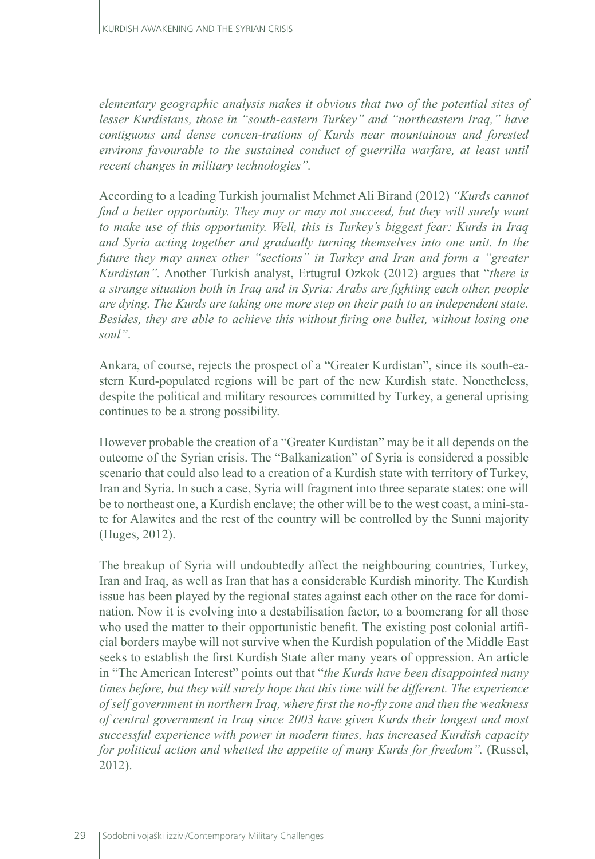*elementary geographic analysis makes it obvious that two of the potential sites of lesser Kurdistans, those in "south-eastern Turkey" and "northeastern Iraq," have contiguous and dense concen-trations of Kurds near mountainous and forested environs favourable to the sustained conduct of guerrilla warfare, at least until recent changes in military technologies".* 

According to a leading Turkish journalist Mehmet Ali Birand (2012) *"Kurds cannot find a better opportunity. They may or may not succeed, but they will surely want to make use of this opportunity. Well, this is Turkey's biggest fear: Kurds in Iraq and Syria acting together and gradually turning themselves into one unit. In the future they may annex other "sections" in Turkey and Iran and form a "greater Kurdistan".* Another Turkish analyst, Ertugrul Ozkok (2012) argues that "*there is a strange situation both in Iraq and in Syria: Arabs are fighting each other, people are dying. The Kurds are taking one more step on their path to an independent state. Besides, they are able to achieve this without firing one bullet, without losing one soul"*.

Ankara, of course, rejects the prospect of a "Greater Kurdistan", since its south-eastern Kurd-populated regions will be part of the new Kurdish state. Nonetheless, despite the political and military resources committed by Turkey, a general uprising continues to be a strong possibility.

However probable the creation of a "Greater Kurdistan" may be it all depends on the outcome of the Syrian crisis. The "Balkanization" of Syria is considered a possible scenario that could also lead to a creation of a Kurdish state with territory of Turkey, Iran and Syria. In such a case, Syria will fragment into three separate states: one will be to northeast one, a Kurdish enclave; the other will be to the west coast, a mini-state for Alawites and the rest of the country will be controlled by the Sunni majority (Huges, 2012).

The breakup of Syria will undoubtedly affect the neighbouring countries, Turkey, Iran and Iraq, as well as Iran that has a considerable Kurdish minority. The Kurdish issue has been played by the regional states against each other on the race for domination. Now it is evolving into a destabilisation factor, to a boomerang for all those who used the matter to their opportunistic benefit. The existing post colonial artificial borders maybe will not survive when the Kurdish population of the Middle East seeks to establish the first Kurdish State after many years of oppression. An article in "The American Interest" points out that "*the Kurds have been disappointed many times before, but they will surely hope that this time will be different. The experience of self government in northern Iraq, where first the no-fly zone and then the weakness of central government in Iraq since 2003 have given Kurds their longest and most successful experience with power in modern times, has increased Kurdish capacity for political action and whetted the appetite of many Kurds for freedom".* (Russel, 2012).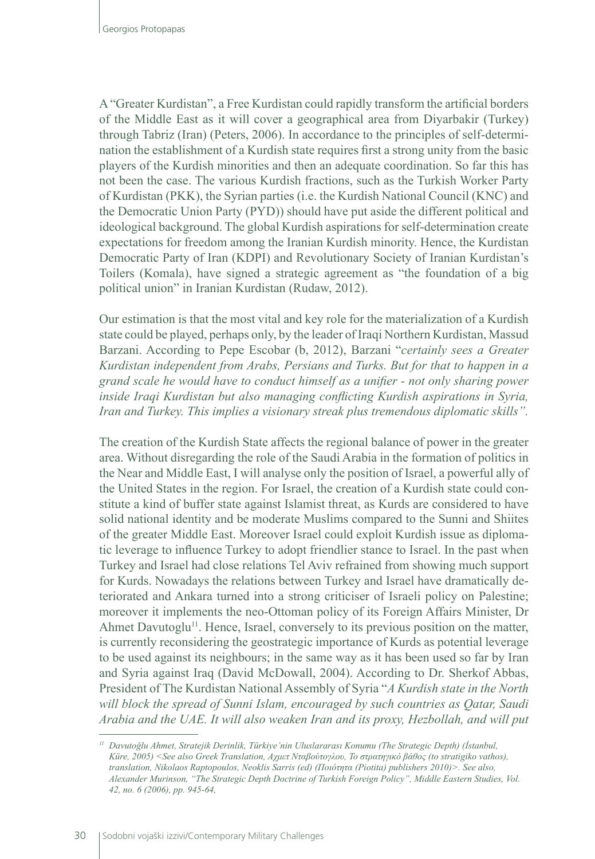A "Greater Kurdistan", a Free Kurdistan could rapidly transform the artificial borders of the Middle East as it will cover a geographical area from Diyarbakir (Turkey) through Tabriz (Iran) (Peters, 2006). In accordance to the principles of self-determination the establishment of a Kurdish state requires first a strong unity from the basic players of the Kurdish minorities and then an adequate coordination. So far this has not been the case. The various Kurdish fractions, such as the Turkish Worker Party of Kurdistan (PKK), the Syrian parties (i.e. the Kurdish National Council (KNC) and the Democratic Union Party (PYD)) should have put aside the different political and ideological background. The global Kurdish aspirations for self-determination create expectations for freedom among the Iranian Kurdish minority. Hence, the Kurdistan Democratic Party of Iran (KDPI) and Revolutionary Society of Iranian Kurdistan's Toilers (Komala), have signed a strategic agreement as "the foundation of a big political union" in Iranian Kurdistan (Rudaw, 2012).

Our estimation is that the most vital and key role for the materialization of a Kurdish state could be played, perhaps only, by the leader of Iraqi Northern Kurdistan, Massud Barzani. According to Pepe Escobar (b, 2012), Barzani "*certainly sees a Greater Kurdistan independent from Arabs, Persians and Turks. But for that to happen in a grand scale he would have to conduct himself as a unifier - not only sharing power inside Iraqi Kurdistan but also managing conflicting Kurdish aspirations in Syria, Iran and Turkey. This implies a visionary streak plus tremendous diplomatic skills".*

The creation of the Kurdish State affects the regional balance of power in the greater area. Without disregarding the role of the Saudi Arabia in the formation of politics in the Near and Middle East, I will analyse only the position of Israel, a powerful ally of the United States in the region. For Israel, the creation of a Kurdish state could constitute a kind of buffer state against Islamist threat, as Kurds are considered to have solid national identity and be moderate Muslims compared to the Sunni and Shiites of the greater Middle East. Moreover Israel could exploit Kurdish issue as diplomatic leverage to influence Turkey to adopt friendlier stance to Israel. In the past when Turkey and Israel had close relations Tel Aviv refrained from showing much support for Kurds. Nowadays the relations between Turkey and Israel have dramatically deteriorated and Ankara turned into a strong criticiser of Israeli policy on Palestine; moreover it implements the neo-Ottoman policy of its Foreign Affairs Minister, Dr Ahmet Davutoglu<sup>11</sup>. Hence, Israel, conversely to its previous position on the matter, is currently reconsidering the geostrategic importance of Kurds as potential leverage to be used against its neighbours; in the same way as it has been used so far by Iran and Syria against Iraq (David McDowall, 2004). According to Dr. Sherkof Abbas, President of The Kurdistan National Assembly of Syria "*A Kurdish state in the North will block the spread of Sunni Islam, encouraged by such countries as Qatar, Saudi Arabia and the UAE. It will also weaken Iran and its proxy, Hezbollah, and will put* 

*<sup>11</sup> Davutoğlu Ahmet, Stratejik Derinlik, Türkiye'nin Uluslararası Konumu (The Strategic Depth) (İstanbul, Küre, 2005) <See also Greek Translation, Aχμετ Νταβούτογλου, Το στρατηγικό βάθος (to stratigiko vathos), translation, Nikolaos Raptopoulos, Neoklis Sarris (ed) (Ποιότητα (Piotita) publishers 2010)>. See also, Alexander Murinson, "The Strategic Depth Doctrine of Turkish Foreign Policy", Middle Eastern Studies, Vol. 42, no. 6 (2006), pp. 945-64,*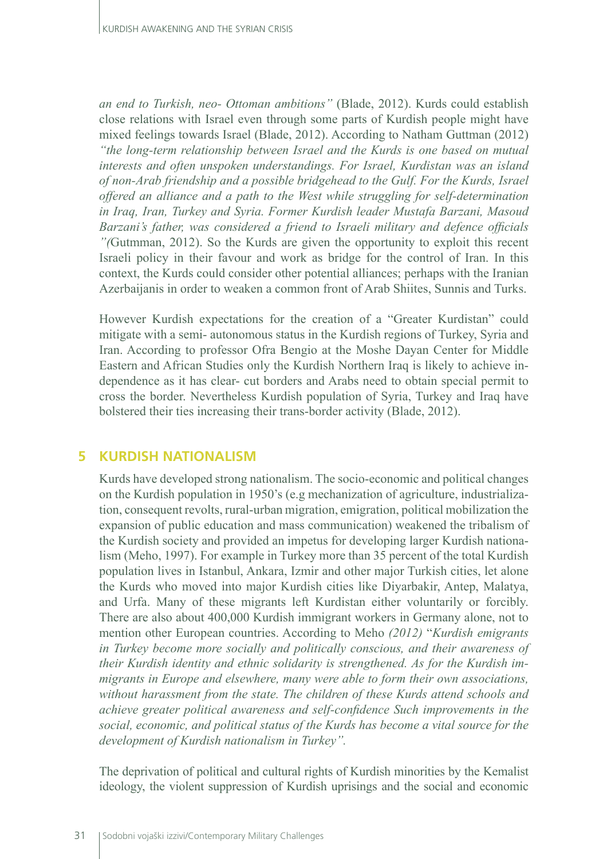*an end to Turkish, neo- Ottoman ambitions"* (Blade, 2012). Kurds could establish close relations with Israel even through some parts of Kurdish people might have mixed feelings towards Israel (Blade, 2012). According to Natham Guttman (2012) *"the long-term relationship between Israel and the Kurds is one based on mutual interests and often unspoken understandings. For Israel, Kurdistan was an island of non-Arab friendship and a possible bridgehead to the Gulf. For the Kurds, Israel offered an alliance and a path to the West while struggling for self-determination in Iraq, Iran, Turkey and Syria. Former Kurdish leader Mustafa Barzani, Masoud Barzani's father, was considered a friend to Israeli military and defence officials "(*Gutmman, 2012). So the Kurds are given the opportunity to exploit this recent Israeli policy in their favour and work as bridge for the control of Iran. In this context, the Kurds could consider other potential alliances; perhaps with the Iranian Azerbaijanis in order to weaken a common front of Arab Shiites, Sunnis and Turks.

However Kurdish expectations for the creation of a "Greater Kurdistan" could mitigate with a semi- autonomous status in the Kurdish regions of Turkey, Syria and Iran. According to professor Ofra Bengio at the Moshe Dayan Center for Middle Eastern and African Studies only the Kurdish Northern Iraq is likely to achieve independence as it has clear- cut borders and Arabs need to obtain special permit to cross the border. Nevertheless Kurdish population of Syria, Turkey and Iraq have bolstered their ties increasing their trans-border activity (Blade, 2012).

# **5 KURDISH NATIONALISM**

Kurds have developed strong nationalism. The socio-economic and political changes on the Kurdish population in 1950's (e.g mechanization of agriculture, industrialization, consequent revolts, rural-urban migration, emigration, political mobilization the expansion of public education and mass communication) weakened the tribalism of the Kurdish society and provided an impetus for developing larger Kurdish nationalism (Meho, 1997). For example in Turkey more than 35 percent of the total Kurdish population lives in Istanbul, Ankara, Izmir and other major Turkish cities, let alone the Kurds who moved into major Kurdish cities like Diyarbakir, Antep, Malatya, and Urfa. Many of these migrants left Kurdistan either voluntarily or forcibly. There are also about 400,000 Kurdish immigrant workers in Germany alone, not to mention other European countries. According to Meho *(2012)* "*Kurdish emigrants in Turkey become more socially and politically conscious, and their awareness of their Kurdish identity and ethnic solidarity is strengthened. As for the Kurdish immigrants in Europe and elsewhere, many were able to form their own associations, without harassment from the state. The children of these Kurds attend schools and achieve greater political awareness and self-confidence Such improvements in the social, economic, and political status of the Kurds has become a vital source for the development of Kurdish nationalism in Turkey".* 

The deprivation of political and cultural rights of Kurdish minorities by the Kemalist ideology, the violent suppression of Kurdish uprisings and the social and economic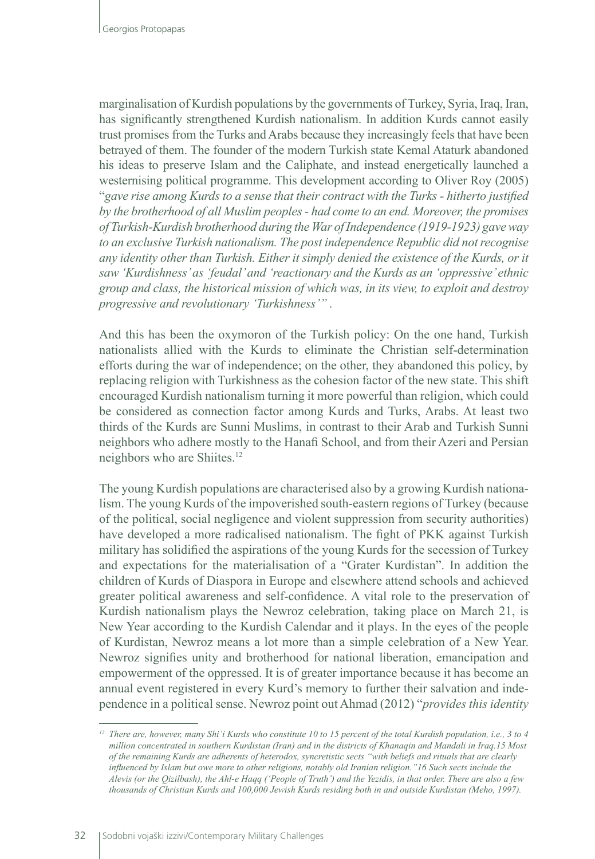marginalisation of Kurdish populations by the governments of Turkey, Syria, Iraq, Iran, has significantly strengthened Kurdish nationalism. In addition Kurds cannot easily trust promises from the Turks and Arabs because they increasingly feels that have been betrayed of them. The founder of the modern Turkish state Kemal Ataturk abandoned his ideas to preserve Islam and the Caliphate, and instead energetically launched a westernising political programme. This development according to Oliver Roy (2005) "*gave rise among Kurds to a sense that their contract with the Turks - hitherto justified by the brotherhood of all Muslim peoples - had come to an end. Moreover, the promises of Turkish-Kurdish brotherhood during the War of Independence (1919-1923) gave way to an exclusive Turkish nationalism. The post independence Republic did not recognise any identity other than Turkish. Either it simply denied the existence of the Kurds, or it saw 'Kurdishness' as 'feudal' and 'reactionary and the Kurds as an 'oppressive' ethnic group and class, the historical mission of which was, in its view, to exploit and destroy progressive and revolutionary 'Turkishness'" .* 

And this has been the oxymoron of the Turkish policy: On the one hand, Turkish nationalists allied with the Kurds to eliminate the Christian self-determination efforts during the war of independence; on the other, they abandoned this policy, by replacing religion with Turkishness as the cohesion factor of the new state. This shift encouraged Kurdish nationalism turning it more powerful than religion, which could be considered as connection factor among Kurds and Turks, Arabs. At least two thirds of the Kurds are Sunni Muslims, in contrast to their Arab and Turkish Sunni neighbors who adhere mostly to the Hanafi School, and from their Azeri and Persian neighbors who are Shiites.<sup>12</sup>

The young Kurdish populations are characterised also by a growing Kurdish nationalism. The young Kurds of the impoverished south-eastern regions of Turkey (because of the political, social negligence and violent suppression from security authorities) have developed a more radicalised nationalism. The fight of PKK against Turkish military has solidified the aspirations of the young Kurds for the secession of Turkey and expectations for the materialisation of a "Grater Kurdistan". In addition the children of Kurds of Diaspora in Europe and elsewhere attend schools and achieved greater political awareness and self-confidence. A vital role to the preservation of Kurdish nationalism plays the Newroz celebration, taking place on March 21, is New Year according to the Kurdish Calendar and it plays. In the eyes of the people of Kurdistan, Newroz means a lot more than a simple celebration of a New Year. Newroz signifies unity and brotherhood for national liberation, emancipation and empowerment of the oppressed. It is of greater importance because it has become an annual event registered in every Kurd's memory to further their salvation and independence in a political sense. Newroz point out Ahmad (2012) "*provides this identity* 

*<sup>12</sup> There are, however, many Shi'i Kurds who constitute 10 to 15 percent of the total Kurdish population, i.e., 3 to 4 million concentrated in southern Kurdistan (Iran) and in the districts of Khanaqin and Mandali in Iraq.15 Most of the remaining Kurds are adherents of heterodox, syncretistic sects "with beliefs and rituals that are clearly influenced by Islam but owe more to other religions, notably old Iranian religion."16 Such sects include the Alevis (or the Qizilbash), the Ahl-e Haqq ('People of Truth') and the Yezidis, in that order. There are also a few thousands of Christian Kurds and 100,000 Jewish Kurds residing both in and outside Kurdistan (Meho, 1997).*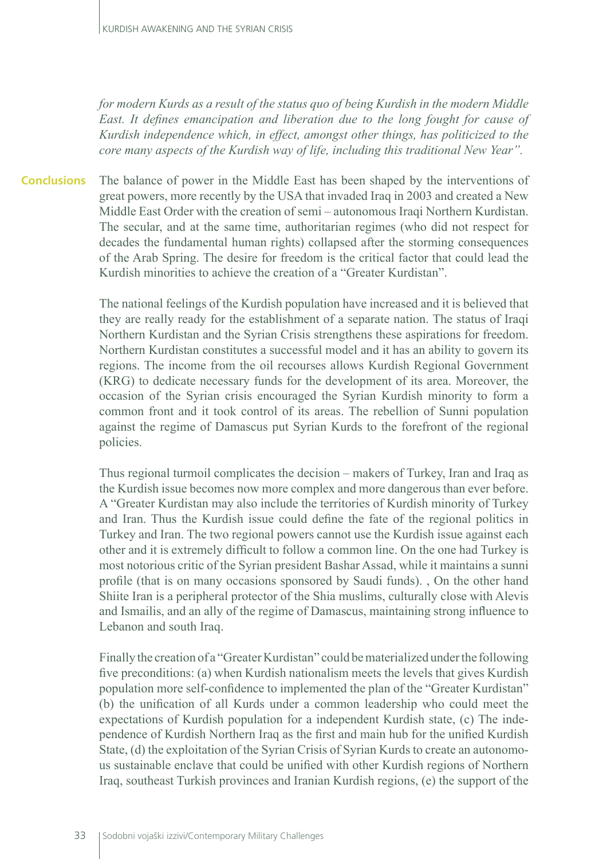*for modern Kurds as a result of the status quo of being Kurdish in the modern Middle East. It defines emancipation and liberation due to the long fought for cause of Kurdish independence which, in effect, amongst other things, has politicized to the core many aspects of the Kurdish way of life, including this traditional New Year".*

The balance of power in the Middle East has been shaped by the interventions of great powers, more recently by the USA that invaded Iraq in 2003 and created a New Middle East Order with the creation of semi – autonomous Iraqi Northern Kurdistan. The secular, and at the same time, authoritarian regimes (who did not respect for decades the fundamental human rights) collapsed after the storming consequences of the Arab Spring. The desire for freedom is the critical factor that could lead the Kurdish minorities to achieve the creation of a "Greater Kurdistan". **Conclusions**

> The national feelings of the Kurdish population have increased and it is believed that they are really ready for the establishment of a separate nation. The status of Iraqi Northern Kurdistan and the Syrian Crisis strengthens these aspirations for freedom. Northern Kurdistan constitutes a successful model and it has an ability to govern its regions. The income from the oil recourses allows Kurdish Regional Government (KRG) to dedicate necessary funds for the development of its area. Moreover, the occasion of the Syrian crisis encouraged the Syrian Kurdish minority to form a common front and it took control of its areas. The rebellion of Sunni population against the regime of Damascus put Syrian Kurds to the forefront of the regional policies.

> Thus regional turmoil complicates the decision – makers of Turkey, Iran and Iraq as the Kurdish issue becomes now more complex and more dangerous than ever before. A "Greater Kurdistan may also include the territories of Kurdish minority of Turkey and Iran. Thus the Kurdish issue could define the fate of the regional politics in Turkey and Iran. The two regional powers cannot use the Kurdish issue against each other and it is extremely difficult to follow a common line. On the one had Turkey is most notorious critic of the Syrian president Bashar Assad, while it maintains a sunni profile (that is on many occasions sponsored by Saudi funds). , On the other hand Shiite Iran is a peripheral protector of the Shia muslims, culturally close with Alevis and Ismailis, and an ally of the regime of Damascus, maintaining strong influence to Lebanon and south Iraq.

> Finally the creation of a "Greater Kurdistan" could be materialized under the following five preconditions: (a) when Kurdish nationalism meets the levels that gives Kurdish population more self-confidence to implemented the plan of the "Greater Kurdistan" (b) the unification of all Kurds under a common leadership who could meet the expectations of Kurdish population for a independent Kurdish state, (c) The independence of Kurdish Northern Iraq as the first and main hub for the unified Kurdish State, (d) the exploitation of the Syrian Crisis of Syrian Kurds to create an autonomous sustainable enclave that could be unified with other Kurdish regions of Northern Iraq, southeast Turkish provinces and Iranian Kurdish regions, (e) the support of the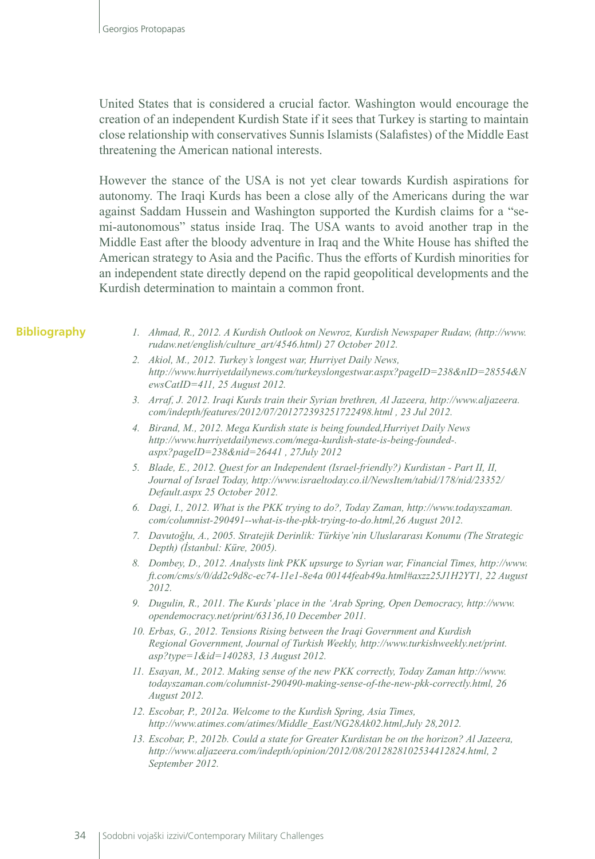United States that is considered a crucial factor. Washington would encourage the creation of an independent Kurdish State if it sees that Turkey is starting to maintain close relationship with conservatives Sunnis Islamists (Salafistes) of the Middle East threatening the American national interests.

However the stance of the USA is not yet clear towards Kurdish aspirations for autonomy. The Iraqi Kurds has been a close ally of the Americans during the war against Saddam Hussein and Washington supported the Kurdish claims for a "semi-autonomous" status inside Iraq. The USA wants to avoid another trap in the Middle East after the bloody adventure in Iraq and the White House has shifted the American strategy to Asia and the Pacific. Thus the efforts of Kurdish minorities for an independent state directly depend on the rapid geopolitical developments and the Kurdish determination to maintain a common front.

#### **Bibliography**

- *1. Ahmad, R., 2012. A Kurdish Outlook on Newroz, Kurdish Newspaper Rudaw, (http://www. rudaw.net/english/culture\_art/4546.html) 27 October 2012.*
- *2. Akiol, M., 2012. Turkey's longest war, Hurriyet Daily News, http://www.hurriyetdailynews.com/turkeyslongestwar.aspx?pageID=238&nID=28554&N ewsCatID=411, 25 August 2012.*
- *3. Arraf, J. 2012. Iraqi Kurds train their Syrian brethren, Al Jazeera, http://www.aljazeera. com/indepth/features/2012/07/201272393251722498.html , 23 Jul 2012.*
- *4. Birand, M., 2012. Mega Kurdish state is being founded,Hurriyet Daily News http://www.hurriyetdailynews.com/mega-kurdish-state-is-being-founded-. aspx?pageID=238&nid=26441 , 27July 2012*
- *5. Blade, E., 2012. Quest for an Independent (Israel-friendly?) Kurdistan Part II, II, Journal of Israel Today, http://www.israeltoday.co.il/NewsItem/tabid/178/nid/23352/ Default.aspx 25 October 2012.*
- *6. Dagi, I., 2012. What is the PKK trying to do?, Today Zaman, http://www.todayszaman. com/columnist-290491--what-is-the-pkk-trying-to-do.html,26 August 2012.*
- *7. Davutoğlu, A., 2005. Stratejik Derinlik: Türkiye'nin Uluslararası Konumu (The Strategic Depth) (İstanbul: Küre, 2005).*
- *8. Dombey, D., 2012. Analysts link PKK upsurge to Syrian war, Financial Times, http://www. ft.com/cms/s/0/dd2c9d8c-ec74-11e1-8e4a 00144feab49a.html#axzz25J1H2YT1, 22 August 2012.*
- *9. Dugulin, R., 2011. The Kurds' place in the 'Arab Spring, Open Democracy, http://www. opendemocracy.net/print/63136,10 December 2011.*
- *10. Erbas, G., 2012. Tensions Rising between the Iraqi Government and Kurdish Regional Government, Journal of Turkish Weekly, http://www.turkishweekly.net/print. asp?type=1&id=140283, 13 August 2012.*
- *11. Esayan, M., 2012. Making sense of the new PKK correctly, Today Zaman http://www. todayszaman.com/columnist-290490-making-sense-of-the-new-pkk-correctly.html, 26 August 2012.*
- *12. Escobar, P., 2012a. Welcome to the Kurdish Spring, Asia Times, http://www.atimes.com/atimes/Middle\_East/NG28Ak02.html,July 28,2012.*
- *13. Escobar, P., 2012b. Could a state for Greater Kurdistan be on the horizon? Al Jazeera, http://www.aljazeera.com/indepth/opinion/2012/08/2012828102534412824.html, 2 September 2012.*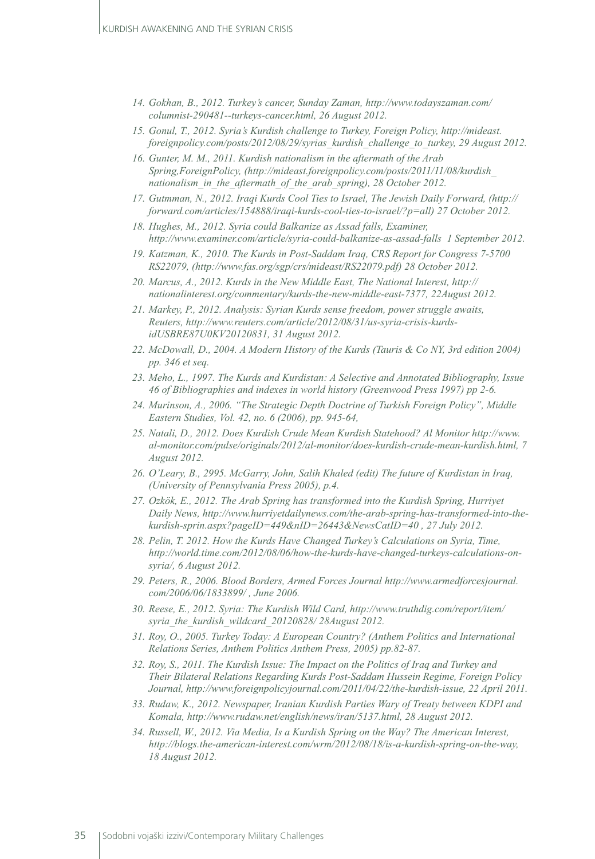- *14. Gokhan, B., 2012. Turkey's cancer, Sunday Zaman, http://www.todayszaman.com/ columnist-290481--turkeys-cancer.html, 26 August 2012.*
- *15. Gonul, T., 2012. Syria's Kurdish challenge to Turkey, Foreign Policy, http://mideast. foreignpolicy.com/posts/2012/08/29/syrias\_kurdish\_challenge\_to\_turkey, 29 August 2012.*
- *16. Gunter, M. M., 2011. Kurdish nationalism in the aftermath of the Arab Spring,ForeignPolicy, (http://mideast.foreignpolicy.com/posts/2011/11/08/kurdish\_ nationalism\_in\_the\_aftermath\_of\_the\_arab\_spring), 28 October 2012.*
- *17. Gutmman, N., 2012. Iraqi Kurds Cool Ties to Israel, The Jewish Daily Forward, (http:// forward.com/articles/154888/iraqi-kurds-cool-ties-to-israel/?p=all) 27 October 2012.*
- *18. Hughes, M., 2012. Syria could Balkanize as Assad falls, Examiner, http://www.examiner.com/article/syria-could-balkanize-as-assad-falls 1 September 2012.*
- *19. Katzman, K., 2010. The Kurds in Post-Saddam Iraq, CRS Report for Congress 7-5700 RS22079, (http://www.fas.org/sgp/crs/mideast/RS22079.pdf) 28 October 2012.*
- *20. Marcus, A., 2012. Kurds in the New Middle East, The National Interest, http:// nationalinterest.org/commentary/kurds-the-new-middle-east-7377, 22August 2012.*
- *21. Markey, P., 2012. Analysis: Syrian Kurds sense freedom, power struggle awaits, Reuters, http://www.reuters.com/article/2012/08/31/us-syria-crisis-kurdsidUSBRE87U0KV20120831, 31 August 2012.*
- *22. McDowall, D., 2004. A Modern History of the Kurds (Tauris & Co NY, 3rd edition 2004) pp. 346 et seq.*
- *23. Meho, L., 1997. The Kurds and Kurdistan: A Selective and Annotated Bibliography, Issue 46 of Bibliographies and indexes in world history (Greenwood Press 1997) pp 2-6.*
- *24. Murinson, A., 2006. "The Strategic Depth Doctrine of Turkish Foreign Policy", Middle Eastern Studies, Vol. 42, no. 6 (2006), pp. 945-64,*
- *25. Natali, D., 2012. Does Kurdish Crude Mean Kurdish Statehood? Al Monitor http://www. al-monitor.com/pulse/originals/2012/al-monitor/does-kurdish-crude-mean-kurdish.html, 7 August 2012.*
- *26. O'Leary, B., 2995. McGarry, John, Salih Khaled (edit) The future of Kurdistan in Iraq, (University of Pennsylvania Press 2005), p.4.*
- *27. Ozkök, E., 2012. The Arab Spring has transformed into the Kurdish Spring, Hurriyet Daily News, http://www.hurriyetdailynews.com/the-arab-spring-has-transformed-into-thekurdish-sprin.aspx?pageID=449&nID=26443&NewsCatID=40 , 27 July 2012.*
- *28. Pelin, T. 2012. How the Kurds Have Changed Turkey's Calculations on Syria, Time, http://world.time.com/2012/08/06/how-the-kurds-have-changed-turkeys-calculations-onsyria/, 6 August 2012.*
- *29. Peters, R., 2006. Blood Borders, Armed Forces Journal http://www.armedforcesjournal. com/2006/06/1833899/ , June 2006.*
- *30. Reese, E., 2012. Syria: The Kurdish Wild Card, http://www.truthdig.com/report/item/ syria\_the\_kurdish\_wildcard\_20120828/ 28August 2012.*
- *31. Roy, O., 2005. Turkey Today: A European Country? (Anthem Politics and International Relations Series, Anthem Politics Anthem Press, 2005) pp.82-87.*
- *32. Roy, S., 2011. The Kurdish Issue: The Impact on the Politics of Iraq and Turkey and Their Bilateral Relations Regarding Kurds Post-Saddam Hussein Regime, Foreign Policy Journal, http://www.foreignpolicyjournal.com/2011/04/22/the-kurdish-issue, 22 April 2011.*
- *33. Rudaw, K., 2012. Newspaper, Iranian Kurdish Parties Wary of Treaty between KDPI and Komala, http://www.rudaw.net/english/news/iran/5137.html, 28 August 2012.*
- *34. Russell, W., 2012. Via Media, Is a Kurdish Spring on the Way? The American Interest, http://blogs.the-american-interest.com/wrm/2012/08/18/is-a-kurdish-spring-on-the-way, 18 August 2012.*